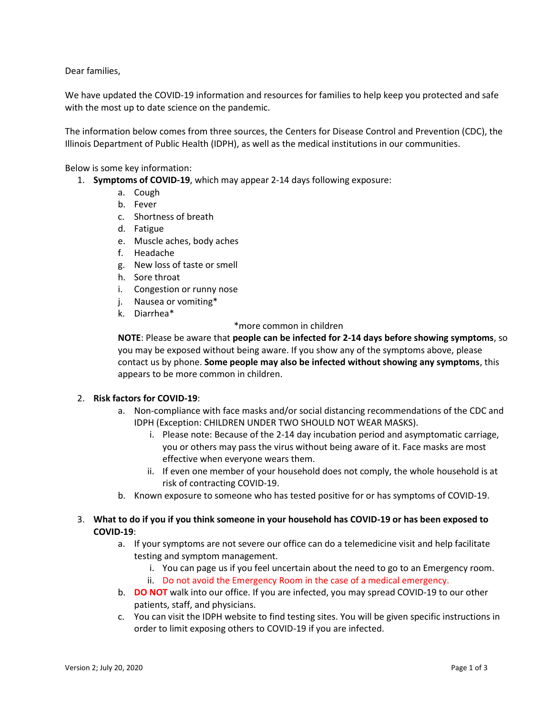Dear families,

We have updated the COVID-19 information and resources for families to help keep you protected and safe with the most up to date science on the pandemic.

The information below comes from three sources, the Centers for Disease Control and Prevention (CDC), the Illinois Department of Public Health (IDPH), as well as the medical institutions in our communities.

Below is some key information:

- 1. **Symptoms of COVID-19**, which may appear 2-14 days following exposure:
	- a. Cough
	- b. Fever
	- c. Shortness of breath
	- d. Fatigue
	- e. Muscle aches, body aches
	- f. Headache
	- g. New loss of taste or smell
	- h. Sore throat
	- i. Congestion or runny nose
	- j. Nausea or vomiting\*
	- k. Diarrhea\*

### \*more common in children

**NOTE**: Please be aware that **people can be infected for 2-14 days before showing symptoms**, so you may be exposed without being aware. If you show any of the symptoms above, please contact us by phone. **Some people may also be infected without showing any symptoms**, this appears to be more common in children.

### 2. **Risk factors for COVID-19**:

- a. Non-compliance with face masks and/or social distancing recommendations of the CDC and IDPH (Exception: CHILDREN UNDER TWO SHOULD NOT WEAR MASKS).
	- i. Please note: Because of the 2-14 day incubation period and asymptomatic carriage, you or others may pass the virus without being aware of it. Face masks are most effective when everyone wears them.
	- ii. If even one member of your household does not comply, the whole household is at risk of contracting COVID-19.
- b. Known exposure to someone who has tested positive for or has symptoms of COVID-19.

# 3. **What to do if you if you think someone in your household has COVID-19 or has been exposed to COVID-19**:

- a. If your symptoms are not severe our office can do a telemedicine visit and help facilitate testing and symptom management.
	- i. You can page us if you feel uncertain about the need to go to an Emergency room.
	- ii. Do not avoid the Emergency Room in the case of a medical emergency.
- b. **DO NOT** walk into our office. If you are infected, you may spread COVID-19 to our other patients, staff, and physicians.
- c. You can visit the IDPH website to find testing sites. You will be given specific instructions in order to limit exposing others to COVID-19 if you are infected.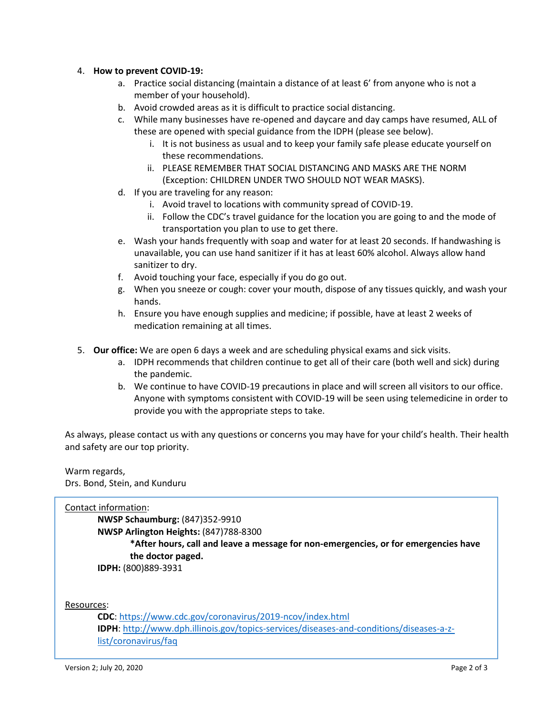## 4. **How to prevent COVID-19:**

- a. Practice social distancing (maintain a distance of at least 6' from anyone who is not a member of your household).
- b. Avoid crowded areas as it is difficult to practice social distancing.
- c. While many businesses have re-opened and daycare and day camps have resumed, ALL of these are opened with special guidance from the IDPH (please see below).
	- i. It is not business as usual and to keep your family safe please educate yourself on these recommendations.
	- ii. PLEASE REMEMBER THAT SOCIAL DISTANCING AND MASKS ARE THE NORM (Exception: CHILDREN UNDER TWO SHOULD NOT WEAR MASKS).
- d. If you are traveling for any reason:
	- i. Avoid travel to locations with community spread of COVID-19.
	- ii. Follow the CDC's travel guidance for the location you are going to and the mode of transportation you plan to use to get there.
- e. Wash your hands frequently with soap and water for at least 20 seconds. If handwashing is unavailable, you can use hand sanitizer if it has at least 60% alcohol. Always allow hand sanitizer to dry.
- f. Avoid touching your face, especially if you do go out.
- g. When you sneeze or cough: cover your mouth, dispose of any tissues quickly, and wash your hands.
- h. Ensure you have enough supplies and medicine; if possible, have at least 2 weeks of medication remaining at all times.
- 5. **Our office:** We are open 6 days a week and are scheduling physical exams and sick visits.
	- a. IDPH recommends that children continue to get all of their care (both well and sick) during the pandemic.
	- b. We continue to have COVID-19 precautions in place and will screen all visitors to our office. Anyone with symptoms consistent with COVID-19 will be seen using telemedicine in order to provide you with the appropriate steps to take.

As always, please contact us with any questions or concerns you may have for your child's health. Their health and safety are our top priority.

Warm regards, Drs. Bond, Stein, and Kunduru

# Contact information:

**NWSP Schaumburg:** (847)352-9910 **NWSP Arlington Heights:** (847)788-8300 **\*After hours, call and leave a message for non-emergencies, or for emergencies have the doctor paged.**

**IDPH:** (800)889-3931

Resources:

**CDC**:<https://www.cdc.gov/coronavirus/2019-ncov/index.html> **IDPH**: [http://www.dph.illinois.gov/topics-services/diseases-and-conditions/diseases-a-z](http://www.dph.illinois.gov/topics-services/diseases-and-conditions/diseases-a-z-list/coronavirus/faq)[list/coronavirus/faq](http://www.dph.illinois.gov/topics-services/diseases-and-conditions/diseases-a-z-list/coronavirus/faq)